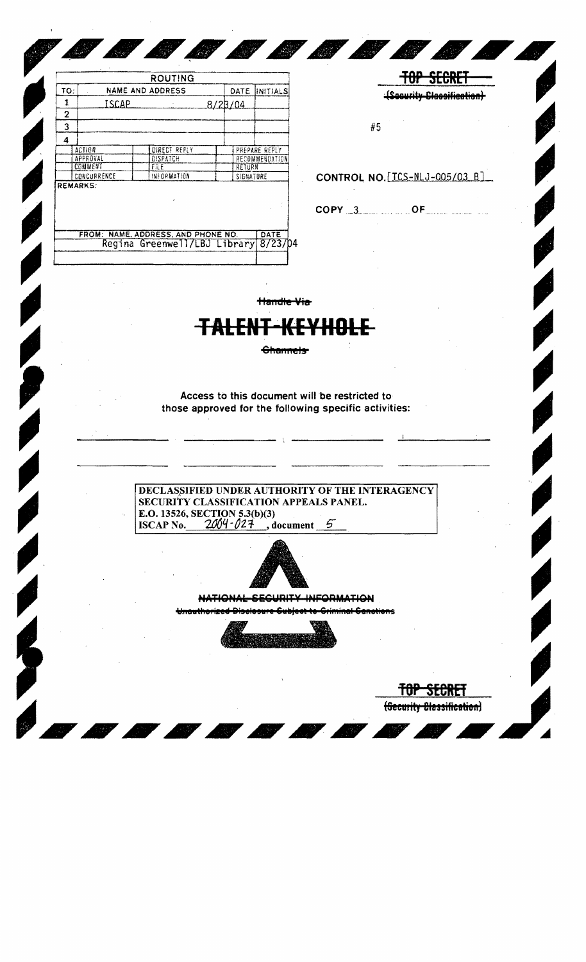|              |                                    | <b>ROUTING</b>                                                       |         |                     |                       |                                                       |    |                                | <b>JEUNE</b> |
|--------------|------------------------------------|----------------------------------------------------------------------|---------|---------------------|-----------------------|-------------------------------------------------------|----|--------------------------------|--------------|
| TO:          |                                    | NAME AND ADDRESS                                                     |         |                     | DATE  INITIALS        |                                                       |    | (Security Classification)      |              |
| $\mathbf{1}$ | <b>ISCAP</b>                       | $\sim 10^{11}$ m $^{-1}$                                             | 8/28/04 |                     |                       |                                                       |    |                                |              |
| $\mathbf 2$  |                                    |                                                                      |         |                     |                       |                                                       |    |                                |              |
| 3            |                                    |                                                                      |         |                     |                       |                                                       | #5 |                                |              |
| 4            | <b>ACTION</b>                      | DIRECT REPLY                                                         |         |                     | PREPARE REPLY         |                                                       |    |                                |              |
|              | APPROVAL                           | DISPATCH                                                             |         |                     | RECOMMENDATION        |                                                       |    |                                |              |
|              | COMMENT<br>CONCURRENCE             | <b>FILE</b><br><b>INFORMATION</b>                                    |         | RETURN<br>SIGNATURE |                       |                                                       |    | CONTROL NO. [ICS-NLJ-005/03 B] |              |
|              | <b>REMARKS:</b>                    |                                                                      |         |                     |                       |                                                       |    |                                |              |
|              |                                    |                                                                      |         |                     |                       |                                                       |    | $COPY = 3$                     |              |
|              | FROM: NAME, ADDRESS, AND PHONE NO. |                                                                      |         |                     | DATE                  |                                                       |    |                                |              |
|              |                                    | Regina Greenwell/LBJ Library                                         |         |                     | 8/23/04               |                                                       |    |                                |              |
|              |                                    |                                                                      |         |                     |                       |                                                       |    |                                |              |
|              |                                    |                                                                      |         |                     |                       |                                                       |    |                                |              |
|              |                                    |                                                                      |         |                     |                       |                                                       |    |                                |              |
|              |                                    |                                                                      |         |                     | <del>Handle Via</del> |                                                       |    |                                |              |
|              |                                    |                                                                      |         |                     |                       |                                                       |    |                                |              |
|              |                                    |                                                                      |         |                     |                       |                                                       |    |                                |              |
|              |                                    |                                                                      |         |                     |                       |                                                       |    |                                |              |
|              |                                    |                                                                      |         |                     | <b>Channels</b>       |                                                       |    |                                |              |
|              |                                    |                                                                      |         |                     |                       |                                                       |    |                                |              |
|              |                                    |                                                                      |         |                     |                       |                                                       |    |                                |              |
|              |                                    |                                                                      |         |                     |                       |                                                       |    |                                |              |
|              |                                    |                                                                      |         |                     |                       | Access to this document will be restricted to         |    |                                |              |
|              |                                    |                                                                      |         |                     |                       | those approved for the following specific activities: |    |                                |              |
|              |                                    |                                                                      |         |                     |                       |                                                       |    |                                |              |
|              |                                    |                                                                      |         |                     |                       |                                                       |    |                                |              |
|              |                                    |                                                                      |         |                     |                       |                                                       |    |                                |              |
|              |                                    |                                                                      |         |                     |                       |                                                       |    |                                |              |
|              |                                    |                                                                      |         |                     |                       |                                                       |    |                                |              |
|              |                                    |                                                                      |         |                     |                       |                                                       |    |                                |              |
|              |                                    | DECLASSIFIED UNDER AUTHORITY OF THE INTERAGENCY                      |         |                     |                       |                                                       |    |                                |              |
|              | ×,                                 | SECURITY CLASSIFICATION APPEALS PANEL.                               |         |                     |                       |                                                       |    |                                |              |
|              |                                    | E.O. 13526, SECTION 5.3(b)(3)<br>ISCAP No. $2004 - 027$ , document 5 |         |                     |                       |                                                       |    |                                |              |
|              |                                    |                                                                      |         |                     |                       |                                                       |    |                                |              |
|              |                                    |                                                                      |         |                     |                       |                                                       |    |                                |              |
|              |                                    |                                                                      |         |                     |                       |                                                       |    |                                |              |
|              |                                    |                                                                      |         |                     |                       |                                                       |    |                                |              |
|              |                                    |                                                                      |         |                     |                       |                                                       |    |                                |              |
|              |                                    |                                                                      |         |                     |                       |                                                       |    |                                |              |
|              |                                    |                                                                      |         |                     |                       |                                                       |    |                                |              |
|              |                                    |                                                                      |         |                     |                       |                                                       |    |                                |              |
|              |                                    |                                                                      |         |                     |                       |                                                       |    |                                |              |
|              |                                    |                                                                      |         |                     |                       |                                                       |    |                                |              |
|              |                                    |                                                                      |         |                     |                       |                                                       |    |                                |              |
|              |                                    |                                                                      |         |                     |                       |                                                       |    |                                |              |
|              |                                    |                                                                      |         |                     |                       |                                                       |    |                                |              |

 $\overline{\phantom{a}}$ 

 $\bar{\mathbf{t}}$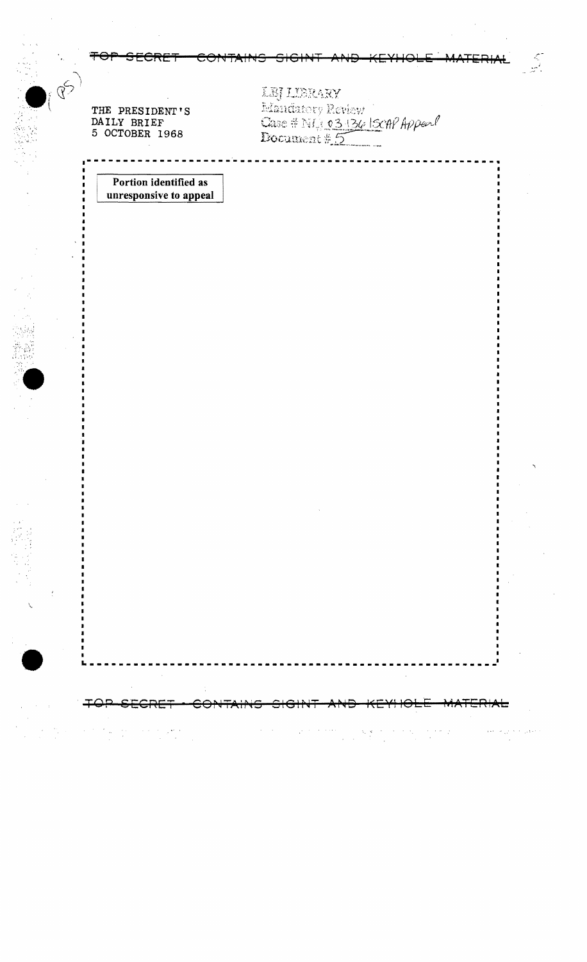|  | AND CHODES CONTAINS CIPINT AND VEVLOLE MATERIAL |  |  |
|--|-------------------------------------------------|--|--|
|  | TUI JEUKET UUNTAINJ JIUHT AND KETHUEE BARENA    |  |  |

THE PRESIDENT'S DAILY BRIEF<br>5 OCTOBER 1968

LBJ LIBRARY<br>Edandstory Review<br>Case # NLJ 03 136 1300 Appeal<br>Document # 5

 $\hat{\mathcal{L}}$ 

Portion identified as unresponsive to appeal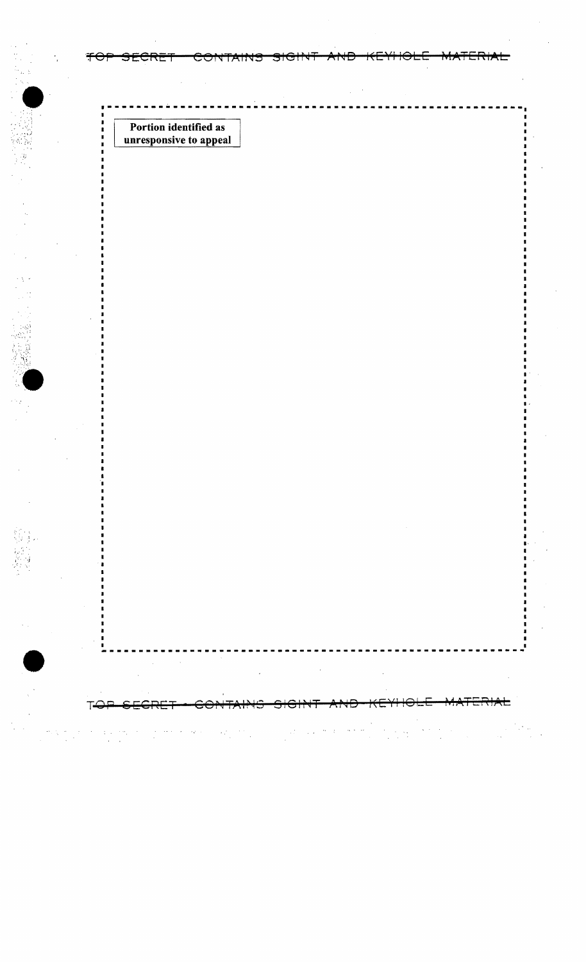Portion identified as unresponsive to appeal

 $\bar{\omega}$ 

 $\alpha\beta\beta\gamma\gamma\gamma\gamma$ 

 $\sim$ 

<del>CONTAINS</del>

J.

<del>SECRET</del>

 $\pm$ 

 $\mathbf{r}$ 

T-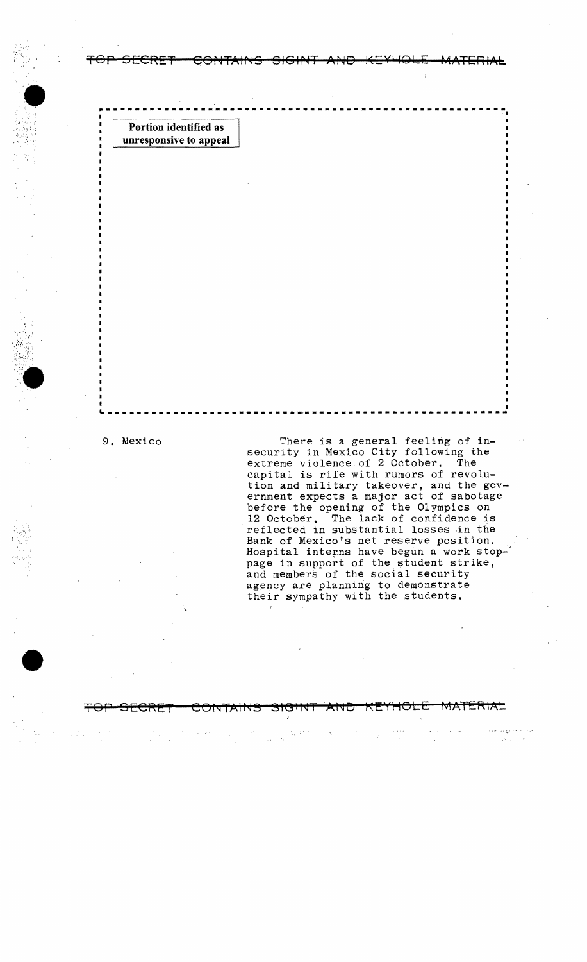**Portion identified as unresponsive to appeal** 

 $\mathbb{C}_C$  .

""".'

•

9. Mexico , There is a general feeling of insecurity in Mexico City following the extreme violence. of 2 October. The capital is rife with rumors of revolution and military takeover, and the government expects a major act of sabotage before the opening of the Olympics on 12 October. The lack of confidence is reflected in substantial losses in the Bank of Mexico's net reserve position. Hospital interns have begun a work stop-' page in support of the student strike, and members of the social security agency are planning to demonstrate their sympathy with the students.

## TOP SECRET CONTAINS SIGINT AND KEYHOLE MATERIAL

**TOP SECRET QOP4TAIP45** SIGIP~T **AP<lD J<EYIIOLE MATERIAL** 

---------------------------------------------------- --~I

---------------------------------------------------~--~

:<br>ا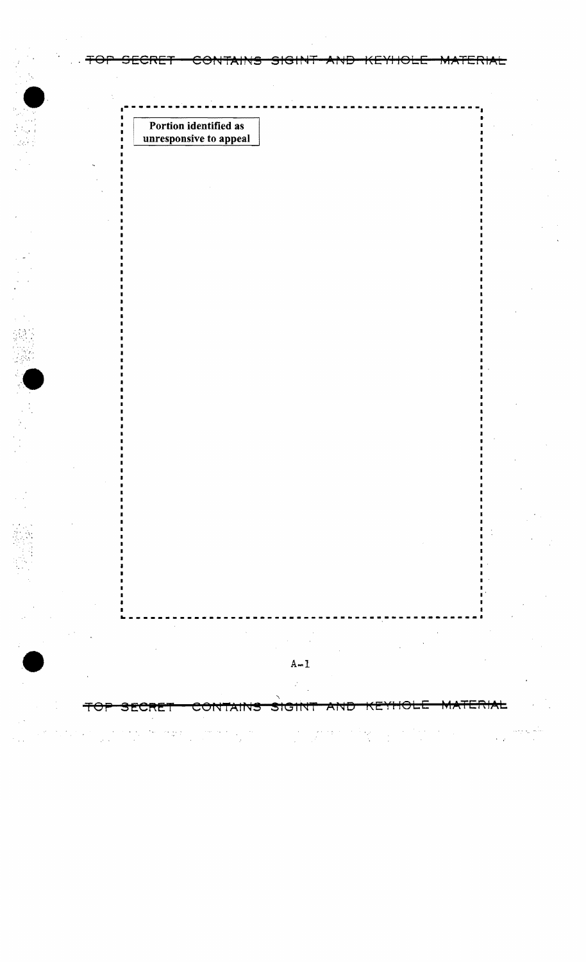